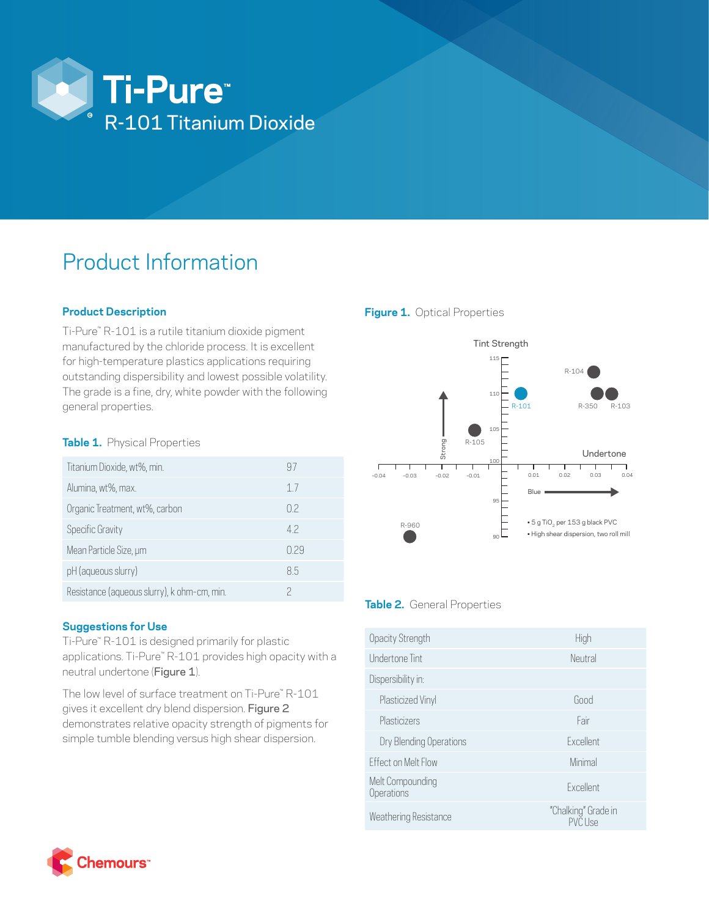

# Product Information

## **Product Description**

Ti-Pure™ R-101 is a rutile titanium dioxide pigment manufactured by the chloride process. It is excellent for high-temperature plastics applications requiring outstanding dispersibility and lowest possible volatility. The grade is a fine, dry, white powder with the following general properties.

## **Table 1.** Physical Properties

| Titanium Dioxide, wt%, min.                 | 97             |
|---------------------------------------------|----------------|
| Alumina, wt%, max.                          | 17             |
| Organic Treatment, wt%, carbon              | 0.2            |
| Specific Gravity                            | 4 <sub>2</sub> |
| Mean Particle Size, um                      | 029            |
| pH (aqueous slurry)                         | 85             |
| Resistance (aqueous slurry), k ohm-cm, min. |                |

## **Suggestions for Use**

Ti-Pure™ R-101 is designed primarily for plastic applications. Ti-Pure™ R-101 provides high opacity with a neutral undertone (Figure 1).

The low level of surface treatment on Ti-Pure™ R-101 gives it excellent dry blend dispersion. Figure 2 demonstrates relative opacity strength of pigments for simple tumble blending versus high shear dispersion.





## **Table 2.** General Properties

| Opacity Strength               | High                                  |
|--------------------------------|---------------------------------------|
| Undertone Tint                 | Neutral                               |
| Dispersibility in:             |                                       |
| Plasticized Vinyl              | Good                                  |
| Plasticizers                   | Fair                                  |
| Dry Blending Operations        | <b>Fxcellent</b>                      |
| <b>Fffect on Melt Flow</b>     | Minimal                               |
| Melt Compounding<br>Operations | <b>Fxcellent</b>                      |
| Weathering Resistance          | "Chalking" Grade in<br><b>PVC Use</b> |